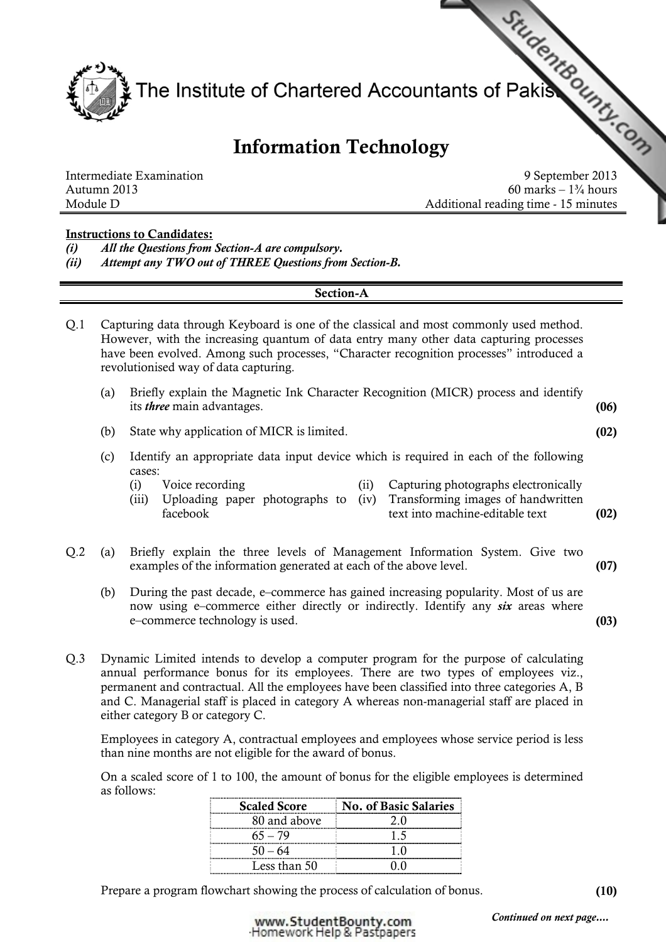

# Information Technology

60 marks –  $1\frac{3}{4}$  hours Module D **Additional reading time - 15 minutes** 

### Instructions to Candidates:

(i) All the Questions from Section-A are compulsory.

(ii) Attempt any TWO out of THREE Questions from Section-B.

### Section-A

Q.1 Capturing data through Keyboard is one of the classical and most commonly used method. However, with the increasing quantum of data entry many other data capturing processes have been evolved. Among such processes, "Character recognition processes" introduced a revolutionised way of data capturing.

| (a) Briefly explain the Magnetic Ink Character Recognition (MICR) process and identify |      |
|----------------------------------------------------------------------------------------|------|
| its <i>three</i> main advantages.                                                      | (06) |

- (b) State why application of MICR is limited. (02)
- (c) Identify an appropriate data input device which is required in each of the following cases:
	- (i) Voice recording (ii) Capturing photographs electronically (iii) Uploading paper photographs to (iv) facebook Transforming images of handwritten text into machine-editable text (02)
- Q.2 (a) Briefly explain the three levels of Management Information System. Give two examples of the information generated at each of the above level. (07)
	- (b) During the past decade, e–commerce has gained increasing popularity. Most of us are now using e–commerce either directly or indirectly. Identify any *six* areas where e–commerce technology is used. (03)
- Q.3 Dynamic Limited intends to develop a computer program for the purpose of calculating annual performance bonus for its employees. There are two types of employees viz., permanent and contractual. All the employees have been classified into three categories A, B and C. Managerial staff is placed in category A whereas non-managerial staff are placed in either category B or category C.

Employees in category A, contractual employees and employees whose service period is less than nine months are not eligible for the award of bonus.

On a scaled score of 1 to 100, the amount of bonus for the eligible employees is determined as follows:

| <b>Scaled Score</b> | <b>No. of Basic Salaries</b> |
|---------------------|------------------------------|
| 80 and above        |                              |
| 55 — 79             |                              |
|                     |                              |
| Less than 50        |                              |

Prepare a program flowchart showing the process of calculation of bonus. (10)